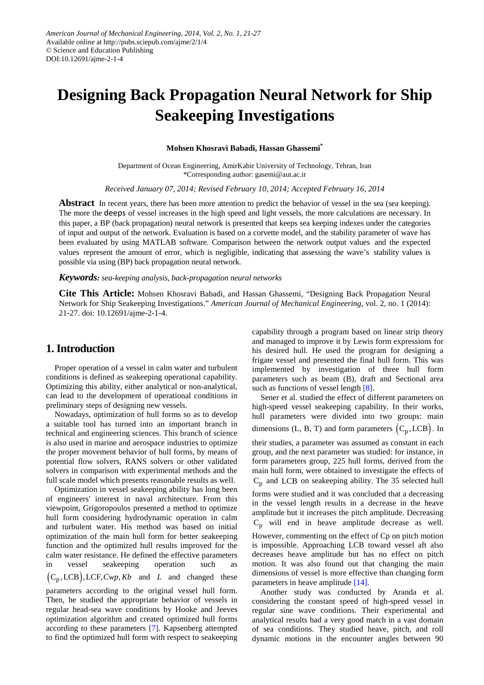# **Designing Back Propagation Neural Network for Ship Seakeeping Investigations**

**Mohsen Khosravi Babadi, Hassan Ghassemi\***

Department of Ocean Engineering, AmirKabir University of Technology, Tehran, Iran \*Corresponding author: gasemi@aut.ac.ir

*Received January 07, 2014; Revised February 10, 2014; Accepted February 16, 2014*

**Abstract** In recent years, there has been more attention to predict the behavior of vessel in the sea (sea keeping). The more the deeps of vessel increases in the high speed and light vessels, the more calculations are necessary. In this paper, a BP (back propagation) neural network is presented that keeps sea keeping indexes under the categories of input and output of the network. Evaluation is based on a corvette model, and the stability parameter of wave has been evaluated by using MATLAB software. Comparison between the network output values and the expected values represent the amount of error, which is negligible, indicating that assessing the wave's stability values is possible via using (BP) back propagation neural network.

*Keywords: sea-keeping analysis, back-propagation neural networks*

**Cite This Article:** Mohsen Khosravi Babadi, and Hassan Ghassemi, "Designing Back Propagation Neural Network for Ship Seakeeping Investigations." *American Journal of Mechanical Engineering*, vol. 2, no. 1 (2014): 21-27. doi: 10.12691/ajme-2-1-4.

### **1. Introduction**

Proper operation of a vessel in calm water and turbulent conditions is defined as seakeeping operational capability. Optimizing this ability, either analytical or non-analytical, can lead to the development of operational conditions in preliminary steps of designing new vessels.

Nowadays, optimization of hull forms so as to develop a suitable tool has turned into an important branch in technical and engineering sciences. This branch of science is also used in marine and aerospace industries to optimize the proper movement behavior of hull forms, by means of potential flow solvers, RANS solvers or other validated solvers in comparison with experimental methods and the full scale model which presents reasonable results as well.

Optimization in vessel seakeeping ability has long been of engineers' interest in naval architecture. From this viewpoint, Grigoropoulos presented a method to optimize hull form considering hydrodynamic operation in calm and turbulent water. His method was based on initial optimization of the main hull form for better seakeeping function and the optimized hull results improved for the calm water resistance. He defined the effective parameters in vessel seakeeping operation such as  $(C_n, LCB)$ , LCF,  $Cwp, Kb$  and *L* and changed these

parameters according to the original vessel hull form. Then, he studied the appropriate behavior of vessels in regular head-sea wave conditions by Hooke and Jeeves optimization algorithm and created optimized hull forms according to these parameters [\[7\].](#page-6-0) Kapsenberg attempted to find the optimized hull form with respect to seakeeping

capability through a program based on linear strip theory and managed to improve it by Lewis form expressions for his desired hull. He used the program for designing a frigate vessel and presented the final hull form. This was implemented by investigation of three hull form parameters such as beam (B), draft and Sectional area such as functions of vessel length [\[8\].](#page-6-1)

Sener et al. studied the effect of different parameters on high-speed vessel seakeeping capability. In their works, hull parameters were divided into two groups: main dimensions  $(L, B, T)$  and form parameters  $(C_n, LCB)$ . In

their studies, a parameter was assumed as constant in each group, and the next parameter was studied: for instance, in form parameters group, 225 hull forms, derived from the main hull form, were obtained to investigate the effects of  $C_p$  and LCB on seakeeping ability. The 35 selected hull

forms were studied and it was concluded that a decreasing in the vessel length results in a decrease in the heave amplitude but it increases the pitch amplitude. Decreasing  $C_p$  will end in heave amplitude decrease as well.

However, commenting on the effect of Cp on pitch motion is impossible. Approaching LCB toward vessel aft also decreases heave amplitude but has no effect on pitch motion. It was also found out that changing the main dimensions of vessel is more effective than changing form parameters in heave amplitude [\[14\].](#page-6-2)

Another study was conducted by Aranda et al. considering the constant speed of high-speed vessel in regular sine wave conditions. Their experimental and analytical results had a very good match in a vast domain of sea conditions. They studied heave, pitch, and roll dynamic motions in the encounter angles between 90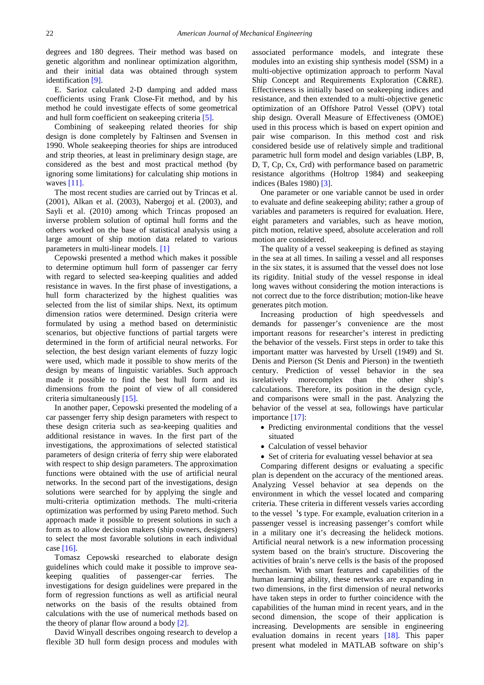degrees and 180 degrees. Their method was based on genetic algorithm and nonlinear optimization algorithm, and their initial data was obtained through system identification [\[9\].](#page-6-3)

E. Sarioz calculated 2-D damping and added mass coefficients using Frank Close-Fit method, and by his method he could investigate effects of some geometrical and hull form coefficient on seakeeping criteria [\[5\].](#page-6-4)

Combining of seakeeping related theories for ship design is done completely by Faltinsen and Svensen in 1990. Whole seakeeping theories for ships are introduced and strip theories, at least in preliminary design stage, are considered as the best and most practical method (by ignoring some limitations) for calculating ship motions in waves [\[11\].](#page-6-5)

The most recent studies are carried out by Trincas et al. (2001), Alkan et al. (2003), Nabergoj et al. (2003), and Sayli et al. (2010) among which Trincas proposed an inverse problem solution of optimal hull forms and the others worked on the base of statistical analysis using a large amount of ship motion data related to various parameters in multi-linear models. [\[1\]](#page-6-6)

Cepowski presented a method which makes it possible to determine optimum hull form of passenger car ferry with regard to selected sea-keeping qualities and added resistance in waves. In the first phase of investigations, a hull form characterized by the highest qualities was selected from the list of similar ships. Next, its optimum dimension ratios were determined. Design criteria were formulated by using a method based on deterministic scenarios, but objective functions of partial targets were determined in the form of artificial neural networks. For selection, the best design variant elements of fuzzy logic were used, which made it possible to show merits of the design by means of linguistic variables. Such approach made it possible to find the best hull form and its dimensions from the point of view of all considered criteria simultaneously [\[15\].](#page-6-7)

In another paper, Cepowski presented the modeling of a car passenger ferry ship design parameters with respect to these design criteria such as sea-keeping qualities and additional resistance in waves. In the first part of the investigations, the approximations of selected statistical parameters of design criteria of ferry ship were elaborated with respect to ship design parameters. The approximation functions were obtained with the use of artificial neural networks. In the second part of the investigations, design solutions were searched for by applying the single and multi-criteria optimization methods. The multi-criteria optimization was performed by using Pareto method. Such approach made it possible to present solutions in such a form as to allow decision makers (ship owners, designers) to select the most favorable solutions in each individual case [\[16\].](#page-6-8)

Tomasz Cepowski researched to elaborate design guidelines which could make it possible to improve seakeeping qualities of passenger-car ferries. The investigations for design guidelines were prepared in the form of regression functions as well as artificial neural networks on the basis of the results obtained from calculations with the use of numerical methods based on the theory of planar flow around a body [\[2\].](#page-6-9)

David Winyall describes ongoing research to develop a flexible 3D hull form design process and modules with associated performance models, and integrate these modules into an existing ship synthesis model (SSM) in a multi-objective optimization approach to perform Naval Ship Concept and Requirements Exploration (C&RE). Effectiveness is initially based on seakeeping indices and resistance, and then extended to a multi-objective genetic optimization of an Offshore Patrol Vessel (OPV) total ship design. Overall Measure of Effectiveness (OMOE) used in this process which is based on expert opinion and pair wise comparison. In this method cost and risk considered beside use of relatively simple and traditional parametric hull form model and design variables (LBP, B, D, T, Cp, Cx, Crd) with performance based on parametric resistance algorithms (Holtrop 1984) and seakeeping indices (Bales 1980) [\[3\].](#page-6-10)

One parameter or one variable cannot be used in order to evaluate and define seakeeping ability; rather a group of variables and parameters is required for evaluation. Here, eight parameters and variables, such as heave motion, pitch motion, relative speed, absolute acceleration and roll motion are considered.

The quality of a vessel seakeeping is defined as staying in the sea at all times. In sailing a vessel and all responses in the six states, it is assumed that the vessel does not lose its rigidity. Initial study of the vessel response in ideal long waves without considering the motion interactions is not correct due to the force distribution; motion-like heave generates pitch motion.

Increasing production of high speedvessels and demands for passenger's convenience are the most important reasons for researcher's interest in predicting the behavior of the vessels. First steps in order to take this important matter was harvested by Ursell (1949) and St. Denis and Pierson (St Denis and Pierson) in the twentieth century. Prediction of vessel behavior in the sea isrelatively morecomplex than the other ship's calculations. Therefore, its position in the design cycle, and comparisons were small in the past. Analyzing the behavior of the vessel at sea, followings have particular importance [\[17\]:](#page-6-11)

- Predicting environmental conditions that the vessel situated
- Calculation of vessel behavior
- Set of criteria for evaluating vessel behavior at sea

Comparing different designs or evaluating a specific plan is dependent on the accuracy of the mentioned areas. Analyzing Vessel behavior at sea depends on the environment in which the vessel located and comparing criteria. These criteria in different vessels varies according to the vessel 's type. For example, evaluation criterion in a passenger vessel is increasing passenger's comfort while in a military one it's decreasing the helideck motions. Artificial neural network is a new information processing system based on the brain's structure. Discovering the activities of brain's nerve cells is the basis of the proposed mechanism. With smart features and capabilities of the human learning ability, these networks are expanding in two dimensions, in the first dimension of neural networks have taken steps in order to further coincidence with the capabilities of the human mind in recent years, and in the second dimension, the scope of their application is increasing. Developments are sensible in engineering evaluation domains in recent years [\[18\].](#page-6-12) This paper present what modeled in MATLAB software on ship's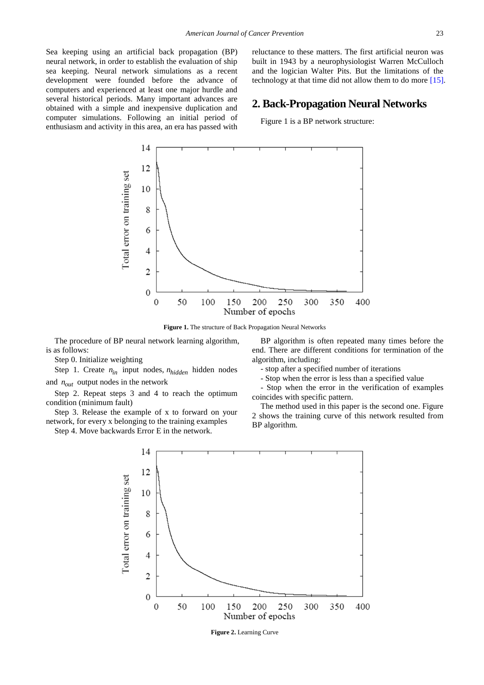Sea keeping using an artificial back propagation (BP) neural network, in order to establish the evaluation of ship sea keeping. Neural network simulations as a recent development were founded before the advance of computers and experienced at least one major hurdle and several historical periods. Many important advances are obtained with a simple and inexpensive duplication and computer simulations. Following an initial period of enthusiasm and activity in this area, an era has passed with reluctance to these matters. The first artificial neuron was built in 1943 by a neurophysiologist Warren McCulloch and the logician Walter Pits. But the limitations of the technology at that time did not allow them to do more [\[15\].](#page-6-7)

## **2. Back-Propagation Neural Networks**

Figure 1 is a BP network structure:



**Figure 1.** The structure of Back Propagation Neural Networks

The procedure of BP neural network learning algorithm, is as follows:

Step 0. Initialize weighting

Step 1. Create  $n_{in}$  input nodes,  $n_{hidden}$  hidden nodes

and  $n_{out}$  output nodes in the network

Step 2. Repeat steps 3 and 4 to reach the optimum condition (minimum fault)

Step 3. Release the example of x to forward on your network, for every x belonging to the training examples

Step 4. Move backwards Error E in the network.

BP algorithm is often repeated many times before the end. There are different conditions for termination of the algorithm, including:

- stop after a specified number of iterations

- Stop when the error is less than a specified value

- Stop when the error in the verification of examples coincides with specific pattern.

The method used in this paper is the second one. Figure 2 shows the training curve of this network resulted from BP algorithm.



**Figure 2.** Learning Curve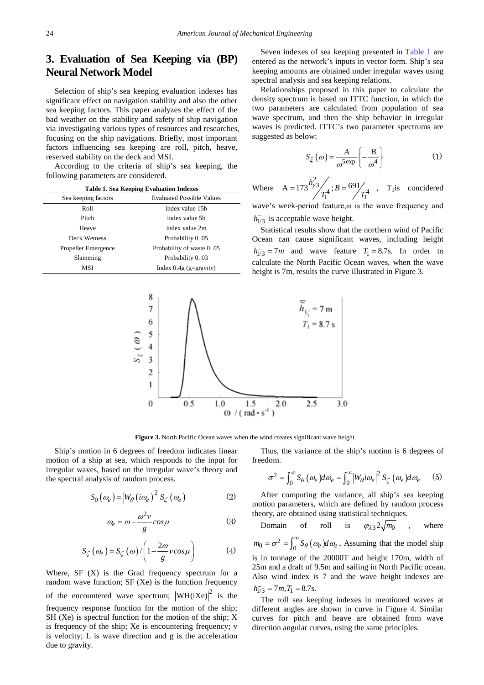# **3. Evaluation of Sea Keeping via (BP) Neural Network Model**

Selection of ship's sea keeping evaluation indexes has significant effect on navigation stability and also the other sea keeping factors. This paper analyzes the effect of the bad weather on the stability and safety of ship navigation via investigating various types of resources and researches, focusing on the ship navigations. Briefly, most important factors influencing sea keeping are roll, pitch, heave, reserved stability on the deck and MSI.

According to the criteria of ship's sea keeping, the following parameters are considered.

<span id="page-3-0"></span>

| <b>Table 1. Sea Keeping Evaluation Indexes</b> |                                  |  |  |  |  |  |
|------------------------------------------------|----------------------------------|--|--|--|--|--|
| Sea keeping factors                            | <b>Evaluated Possible Values</b> |  |  |  |  |  |
| Roll                                           | index value 15b                  |  |  |  |  |  |
| Pitch                                          | index value 5b                   |  |  |  |  |  |
| Heave                                          | index value 2m                   |  |  |  |  |  |
| Deck Wetness                                   | Probability 0.05                 |  |  |  |  |  |
| Propeller Emergence                            | Probability of waste 0.05        |  |  |  |  |  |
| Slamming                                       | Probability 0.03                 |  |  |  |  |  |
| MSI                                            | Index $0.4g$ (g=gravity)         |  |  |  |  |  |

Seven indexes of sea keeping presented in [Table 1](#page-3-0) are entered as the network's inputs in vector form. Ship's sea keeping amounts are obtained under irregular waves using spectral analysis and sea keeping relations.

Relationships proposed in this paper to calculate the density spectrum is based on ITTC function, in which the two parameters are calculated from population of sea wave spectrum, and then the ship behavior in irregular waves is predicted. ITTC's two parameter spectrums are suggested as below:

$$
S_{\xi}(\omega) = \frac{A}{\omega^{5 \exp}} \left\{-\frac{B}{\omega^4}\right\} \tag{1}
$$

Where  $\frac{\gamma^2}{T_1^4}$ ; B = 691/ $T_1^4$  $A = 173 \frac{h_{\gamma}^2}{4}$ ;  $B = 691$  $= 173^{19/3} \frac{1}{T_1^4}$ ;  $B = \frac{691}{T_1^4}$ , T<sub>1</sub> is concidered

wave's week-period feature,ω is the wave frequency and  $h_{1/3}^-$  is acceptable wave height.

Statistical results show that the northern wind of Pacific Ocean can cause significant waves, including height  $h_{1/3}^-$  = 7*m* and wave feature  $T_1$  = 8.7s. In order to calculate the North Pacific Ocean waves, when the wave height is 7m, results the curve illustrated in Figure 3.



**Figure 3.** North Pacific Ocean waves when the wind creates significant wave height

Ship's motion in 6 degrees of freedom indicates linear motion of a ship at sea, which responds to the input for irregular waves, based on the irregular wave's theory and the spectral analysis of random process.

$$
S_0(\omega_e) = |W_{\theta}(i\omega_e)|^2 S_{\zeta}(\omega_e)
$$
 (2)

$$
\omega_e = \omega - \frac{\omega^2 v}{g} \cos \mu \tag{3}
$$

$$
S_{\zeta}(\omega_e) = S_{\zeta}(\omega) / \left(1 - \frac{2\omega}{g} \nu \cos \mu\right) \tag{4}
$$

Where,  $SF(X)$  is the Grad frequency spectrum for a random wave function; SF (Xe) is the function frequency of the encountered wave spectrum;  $|WH(iXe)|^2$  is the frequency response function for the motion of the ship; SH (Xe) is spectral function for the motion of the ship; X is frequency of the ship; Xe is encountering frequency; v is velocity; L is wave direction and g is the acceleration due to gravity.

Thus, the variance of the ship's motion is 6 degrees of freedom.

$$
\sigma^2 = \int_0^\infty S_\theta(\omega_e) d\omega_e = \int_0^\infty \left| W_\theta i \omega_e \right|^2 S_\zeta(\omega_e) d\omega_e \qquad (5)
$$

After computing the variance, all ship's sea keeping motion parameters, which are defined by random process theory, are obtained using statistical techniques.

Domain of roll is 
$$
\varphi_{\lambda 3} 2 \sqrt{m_0}
$$
, where

 $m_0 = \sigma^2 = \int_0^\infty S_\theta(\omega_e) d\omega_e$ , Assuming that the model ship is in tonnage of the 20000T and height 170m, width of 25m and a draft of 9.5m and sailing in North Pacific ocean. Also wind index is 7 and the wave height indexes are  $h_{1/3}^{\text{-}} = 7m, T_1 = 8.7$ s.

The roll sea keeping indexes in mentioned waves at different angles are shown in curve in Figure 4. Similar curves for pitch and heave are obtained from wave direction angular curves, using the same principles.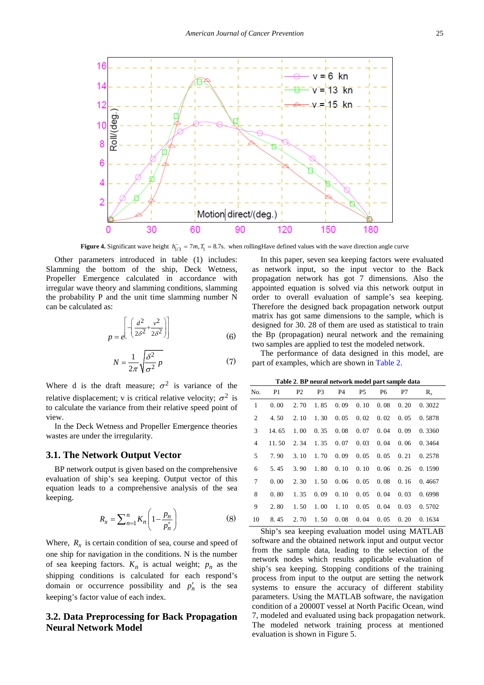

**Figure 4.** Significant wave height  $h_{1/3} = 7m$ ,  $T_1 = 8.7s$ . when rollingHave defined values with the wave direction angle curve

Other parameters introduced in table (1) includes: Slamming the bottom of the ship, Deck Wetness, Propeller Emergence calculated in accordance with irregular wave theory and slamming conditions, slamming the probability P and the unit time slamming number N can be calculated as:

$$
p = e^{\left[ -\left( \frac{d^2}{2\delta^2} + \frac{v^2}{2\delta^2} \right) \right]}
$$
 (6)

$$
N = \frac{1}{2\pi} \sqrt{\frac{\delta^2}{\sigma^2} p}
$$
 (7)

Where d is the draft measure;  $\sigma^2$  is variance of the relative displacement; v is critical relative velocity;  $\sigma^2$  is to calculate the variance from their relative speed point of view.

In the Deck Wetness and Propeller Emergence theories wastes are under the irregularity.

#### **3.1. The Network Output Vector**

BP network output is given based on the comprehensive evaluation of ship's sea keeping. Output vector of this equation leads to a comprehensive analysis of the sea keeping.

$$
R_x = \sum_{n=1}^{n} K_n \left( 1 - \frac{p_n}{p'_n} \right) \tag{8}
$$

Where,  $R_x$  is certain condition of sea, course and speed of one ship for navigation in the conditions. N is the number of sea keeping factors.  $K_n$  is actual weight;  $p_n$  as the shipping conditions is calculated for each respond's domain or occurrence possibility and  $p'_n$  is the sea keeping's factor value of each index.

## **3.2. Data Preprocessing for Back Propagation Neural Network Model**

In this paper, seven sea keeping factors were evaluated as network input, so the input vector to the Back propagation network has got 7 dimensions. Also the appointed equation is solved via this network output in order to overall evaluation of sample's sea keeping. Therefore the designed back propagation network output matrix has got same dimensions to the sample, which is designed for 30. 28 of them are used as statistical to train the Bp (propagation) neural network and the remaining two samples are applied to test the modeled network.

The performance of data designed in this model, are part of examples, which are shown in [Table 2.](#page-4-0)

**Table 2**. **BP neural network model part sample data**

<span id="page-4-0"></span>

| No.            | P1    | P <sub>2</sub> | P3   | P4   | P5   | P <sub>6</sub>               | P7   | $R_{x}$ |
|----------------|-------|----------------|------|------|------|------------------------------|------|---------|
| 1              | 0.00  | 2.70           | 1.85 | 0.09 | 0.10 | 0.08                         | 0.20 | 0.3022  |
| 2              | 4.50  | 2.10           | 1.30 | 0.05 |      | $0.02 \quad 0.02$            | 0.05 | 0.5878  |
| 3              | 14.65 | 1.00           | 0.35 | 0.08 |      | $0.07 \quad 0.04$            | 0.09 | 0.3360  |
| $\overline{4}$ | 11.50 | 2.34           | 1.35 | 0.07 | 0.03 | 0.04                         | 0.06 | 0.3464  |
| 5              | 7.90  | 3.10           | 1.70 | 0.09 |      | $0.05 \quad 0.05$            | 0.21 | 0.2578  |
| 6              | 5.45  | 3.90           | 1.80 | 0.10 |      | $0.10 \quad 0.06 \quad 0.26$ |      | 0.1590  |
| 7              | 0.00  | 2.30           | 1.50 | 0.06 | 0.05 | 0.08                         | 0.16 | 0.4667  |
| 8              | 0.80  | 1.35           | 0.09 | 0.10 | 0.05 | 0.04                         | 0.03 | 0.6998  |
| 9              | 2.80  | 1.50           | 1.00 | 1.10 |      | $0.05 \quad 0.04$            | 0.03 | 0.5702  |
| 10             | 8.45  | 2.70           | 1.50 | 0.08 | 0.04 | 0.05                         | 0.20 | 0.1634  |

Ship's sea keeping evaluation model using MATLAB software and the obtained network input and output vector from the sample data, leading to the selection of the network nodes which results applicable evaluation of ship's sea keeping. Stopping conditions of the training process from input to the output are setting the network systems to ensure the accuracy of different stability parameters. Using the MATLAB software, the navigation condition of a 20000T vessel at North Pacific Ocean, wind 7, modeled and evaluated using back propagation network. The modeled network training process at mentioned evaluation is shown in Figure 5.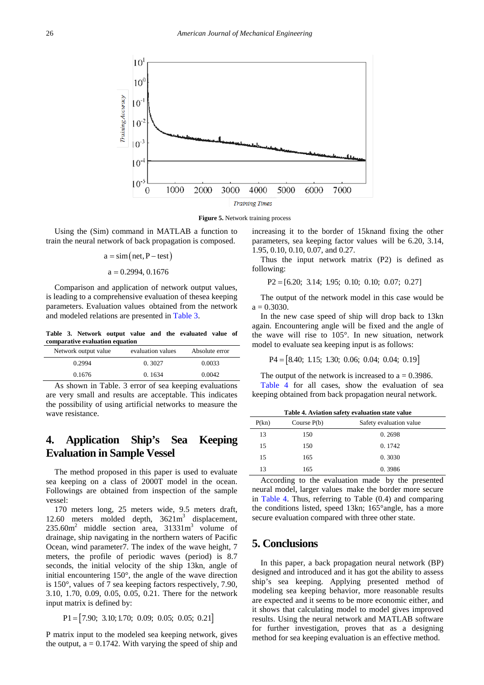

**Figure 5.** Network training process

Using the (Sim) command in MATLAB a function to train the neural network of back propagation is composed.

> $a = \sin(net, P - test)$  $a = 0.2994, 0.1676$

Comparison and application of network output values, is leading to a comprehensive evaluation of thesea keeping parameters. Evaluation values obtained from the network and modeled relations are presented in [Table 3.](#page-5-0)

**Table 3. Network output value and the evaluated value of comparative evaluation equation**

<span id="page-5-0"></span>

| Network output value | evaluation values | Absolute error |
|----------------------|-------------------|----------------|
| 0.2994               | 0.3027            | 0.0033         |
| 0.1676               | 0.1634            | 0.0042         |

As shown in Table. 3 error of sea keeping evaluations are very small and results are acceptable. This indicates the possibility of using artificial networks to measure the wave resistance.

# **4. Application Ship's Sea Keeping Evaluation in Sample Vessel**

The method proposed in this paper is used to evaluate sea keeping on a class of 2000T model in the ocean. Followings are obtained from inspection of the sample vessel:

170 meters long, 25 meters wide, 9.5 meters draft, 12.60 meters molded depth,  $3621m<sup>3</sup>$  displacement,  $235.60m<sup>2</sup>$  middle section area,  $31331m<sup>3</sup>$  volume of drainage, ship navigating in the northern waters of Pacific Ocean, wind parameter7. The index of the wave height, 7 meters, the profile of periodic waves (period) is 8.7 seconds, the initial velocity of the ship 13kn, angle of initial encountering 150°, the angle of the wave direction is 150°, values of 7 sea keeping factors respectively, 7.90, 3.10, 1.70, 0.09, 0.05, 0.05, 0.21. There for the network input matrix is defined by:

 $P1 = [7.90; 3.10; 1.70; 0.09; 0.05; 0.05; 0.21]$ 

P matrix input to the modeled sea keeping network, gives the output,  $a = 0.1742$ . With varying the speed of ship and increasing it to the border of 15knand fixing the other parameters, sea keeping factor values will be 6.20, 3.14, 1.95, 0.10, 0.10, 0.07, and 0.27.

Thus the input network matrix (P2) is defined as following:

 $P2 = [6.20; 3.14; 1.95; 0.10; 0.10; 0.07; 0.27]$ 

The output of the network model in this case would be  $a = 0.3030$ .

In the new case speed of ship will drop back to 13kn again. Encountering angle will be fixed and the angle of the wave will rise to 105°. In new situation, network model to evaluate sea keeping input is as follows:

$$
P4 = [8.40; 1.15; 1.30; 0.06; 0.04; 0.04; 0.19]
$$

The output of the network is increased to  $a = 0.3986$ .

[Table 4](#page-5-1) for all cases, show the evaluation of sea keeping obtained from back propagation neural network.

<span id="page-5-1"></span>

| Safety evaluation value<br>P(kn)<br>Course $P(b)$ |  |
|---------------------------------------------------|--|
| 13<br>0.2698<br>150                               |  |
| 15<br>0.1742<br>150                               |  |
| 15<br>0.3030<br>165                               |  |
| 13<br>0.3986<br>165                               |  |

According to the evaluation made by the presented neural model, larger values make the border more secure in [Table 4.](#page-5-1) Thus, referring to Table (0.4) and comparing the conditions listed, speed 13kn; 165°angle, has a more secure evaluation compared with three other state.

# **5. Conclusions**

In this paper, a back propagation neural network (BP) designed and introduced and it has got the ability to assess ship's sea keeping. Applying presented method of modeling sea keeping behavior, more reasonable results are expected and it seems to be more economic either, and it shows that calculating model to model gives improved results. Using the neural network and MATLAB software for further investigation, proves that as a designing method for sea keeping evaluation is an effective method.